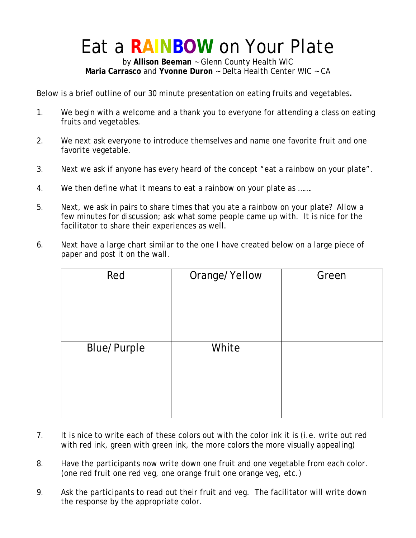### Eat a **RAINBOW** on Your Plate

by **Allison Beeman** ~ Glenn County Health WIC **Maria Carrasco** and **Yvonne Duron** ~ Delta Health Center WIC ~ CA

Below is a brief outline of our 30 minute presentation on eating fruits and vegetables**.** 

- 1. We begin with a welcome and a thank you to everyone for attending a class on eating fruits and vegetables.
- 2. We next ask everyone to introduce themselves and name one favorite fruit and one favorite vegetable.
- 3. Next we ask if anyone has every heard of the concept "eat a rainbow on your plate".
- 4. We then define what it means to eat a rainbow on your plate as …….
- 5. Next, we ask in pairs to share times that you ate a rainbow on your plate? Allow a few minutes for discussion; ask what some people came up with. It is nice for the facilitator to share their experiences as well.
- 6. Next have a large chart similar to the one I have created below on a large piece of paper and post it on the wall.

| Red                | Orange/Yellow | Green |
|--------------------|---------------|-------|
|                    |               |       |
| <b>Blue/Purple</b> | White         |       |

- 7. It is nice to write each of these colors out with the color ink it is (i.e. write out red with red ink, green with green ink, the more colors the more visually appealing)
- 8. Have the participants now write down one fruit and one vegetable from each color. (one red fruit one red veg, one orange fruit one orange veg, etc.)
- 9. Ask the participants to read out their fruit and veg. The facilitator will write down the response by the appropriate color.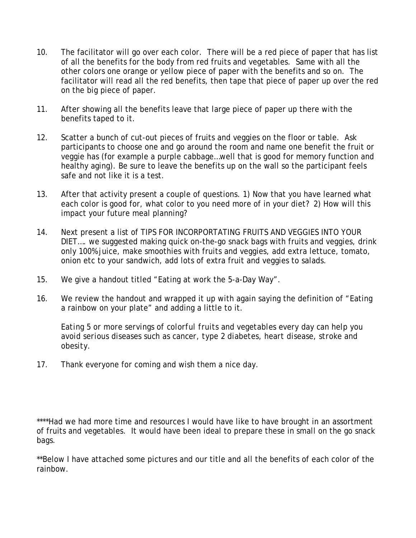- 10. The facilitator will go over each color. There will be a red piece of paper that has list of all the benefits for the body from red fruits and vegetables. Same with all the other colors one orange or yellow piece of paper with the benefits and so on. The facilitator will read all the red benefits, then tape that piece of paper up over the red on the big piece of paper.
- 11. After showing all the benefits leave that large piece of paper up there with the benefits taped to it.
- 12. Scatter a bunch of cut-out pieces of fruits and veggies on the floor or table. Ask participants to choose one and go around the room and name one benefit the fruit or veggie has (for example a purple cabbage…well that is good for memory function and healthy aging). Be sure to leave the benefits up on the wall so the participant feels safe and not like it is a test.
- 13. After that activity present a couple of questions. 1) Now that you have learned what each color is good for, what color to you need more of in your diet? 2) How will this impact your future meal planning?
- 14. Next present a list of TIPS FOR INCORPORTATING FRUITS AND VEGGIES INTO YOUR DIET…. we suggested making quick on-the-go snack bags with fruits and veggies, drink only 100% juice, make smoothies with fruits and veggies, add extra lettuce, tomato, onion etc to your sandwich, add lots of extra fruit and veggies to salads.
- 15. We give a handout titled "Eating at work the 5-a-Day Way".
- 16. We review the handout and wrapped it up with again saying the definition of "Eating a rainbow on your plate" and adding a little to it.

*Eating 5 or more servings of colorful fruits and vegetables every day can help you avoid serious diseases such as cancer, type 2 diabetes, heart disease, stroke and obesity.* 

17. Thank everyone for coming and wish them a nice day.

\*\*\*\*Had we had more time and resources I would have like to have brought in an assortment of fruits and vegetables. It would have been ideal to prepare these in small on the go snack bags.

\*\*Below I have attached some pictures and our title and all the benefits of each color of the rainbow.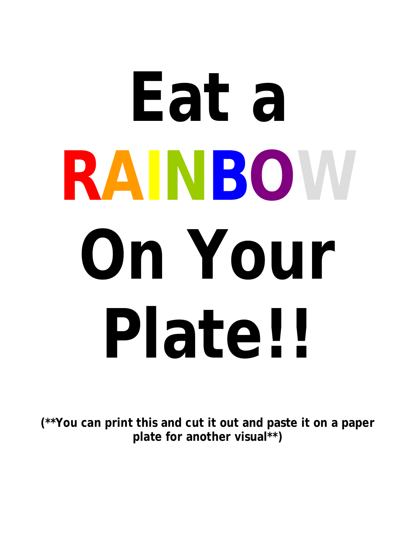# **Eat a RAINBOW On Your Plate!!**

**(\*\*You can print this and cut it out and paste it on a paper plate for another visual\*\*)**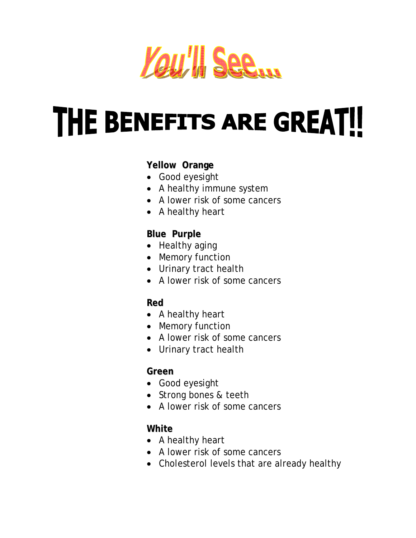

## **THE BENEFITS ARE GREAT!!**

#### **Yellow Orange**

- Good eyesight
- A healthy immune system
- A lower risk of some cancers
- A healthy heart

#### **Blue Purple**

- Healthy aging
- Memory function
- Urinary tract health
- A lower risk of some cancers

#### **Red**

- A healthy heart
- Memory function
- A lower risk of some cancers
- Urinary tract health

#### **Green**

- Good eyesight
- Strong bones & teeth
- A lower risk of some cancers

#### **White**

- A healthy heart
- A lower risk of some cancers
- Cholesterol levels that are already healthy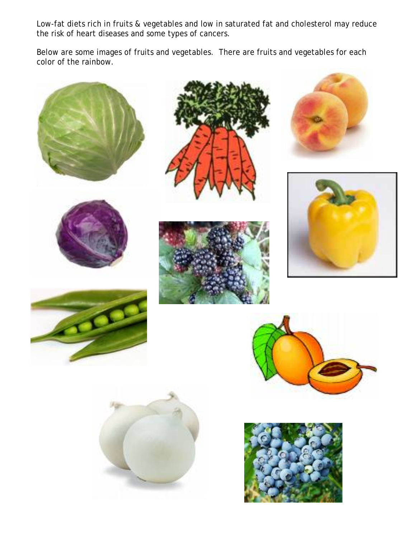Low-fat diets rich in fruits & vegetables and low in saturated fat and cholesterol may reduce the risk of heart diseases and some types of cancers.

Below are some images of fruits and vegetables. There are fruits and vegetables for each color of the rainbow.